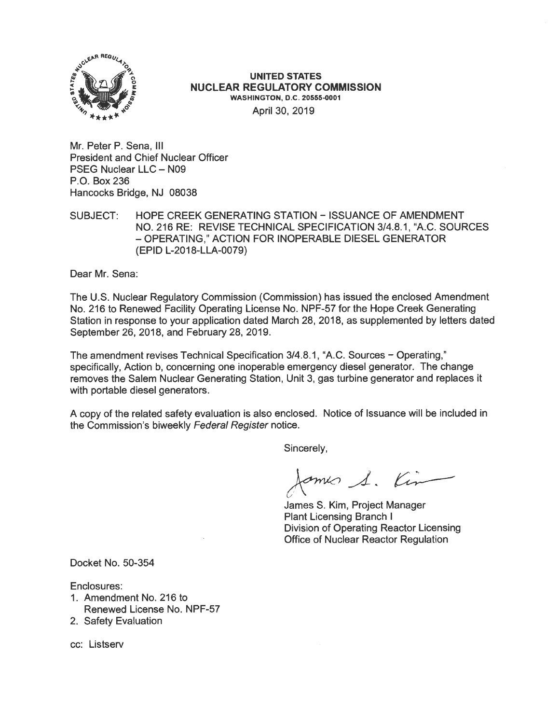

## **UNITED STATES NUCLEAR REGULATORY COMMISSION WASHINGTON, D.C. 20555.0001**  April 30, 2019

Mr. Peter P. Sena, Ill President and Chief Nuclear Officer PSEG Nuclear LLC - N09 P.O. Box 236 Hancocks Bridge, NJ 08038

SUBJECT: HOPE CREEK GENERATING STATION - ISSUANCE OF AMENDMENT NO. 216 RE: REVISE TECHNICAL SPECIFICATION 3/4.8.1, "A.C. SOURCES - OPERATING," ACTION FOR INOPERABLE DIESEL GENERATOR (EPID L-2018-LLA-0079)

Dear Mr. Sena:

The U.S. Nuclear Regulatory Commission (Commission) has issued the enclosed Amendment No. 216 to Renewed Facility Operating License No. NPF-57 for the Hope Creek Generating Station in response to your application dated March 28, 2018, as supplemented by letters dated September 26, 2018, and February 28, 2019.

The amendment revises Technical Specification 3/4.8.1, "A.C. Sources - Operating," specifically, Action b, concerning one inoperable emergency diesel generator. The change removes the Salem Nuclear Generating Station, Unit 3, gas turbine generator and replaces it with portable diesel generators.

A copy of the related safety evaluation is also enclosed. Notice of Issuance will be included in the Commission's biweekly Federal Register notice.

Sincerely,

James S. Kin

James S. Kim, Project Manager Plant Licensing Branch I Division of Operating Reactor Licensing Office of Nuclear Reactor Regulation

Docket No. 50-354

Enclosures:

- 1. Amendment No. 216 to Renewed License No. NPF-57
- 2. Safety Evaluation

cc: Listserv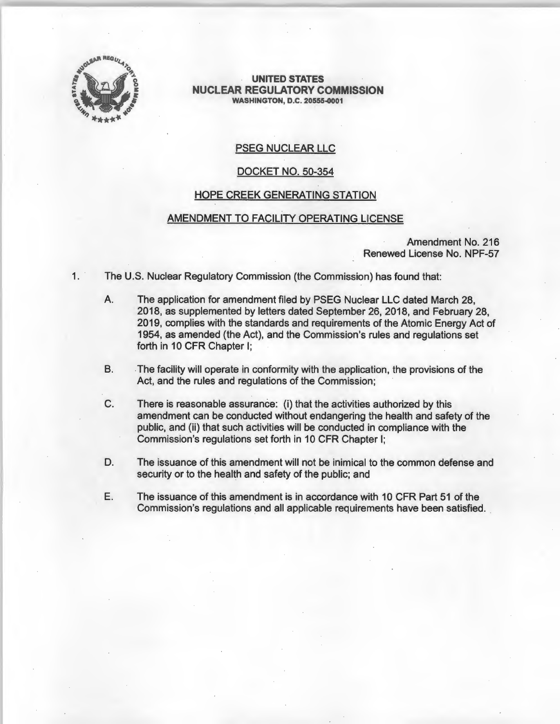

**UNITED STATES NUCLEAR REGULATORY COMMISSION WASHINGTON, D.C. 20555-0001** 

# PSEG NUCLEAR LLC

#### DOCKET NO. 50-354

#### HOPE CREEK GENERATING STATION

## AMENDMENT TO FACILITY OPERATING LICENSE

Amendment No. 216 Renewed License No. NPF-57

- 1. The U.S. Nuclear Regulatory Commission (the Commission) has found that:
	- A. The application for amendment filed by PSEG Nuclear LLC dated March 28, 2018, as supplemented by letters dated September 26, 2018, and February 28, 2019, complies with the standards and requirements of the Atomic Energy Act of 1954, as amended (the Act), and the Commission's rules and regulations set forth in 10 CFR Chapter I;
	- B. The facility will operate in conformity with the application, the provisions of the Act, and the rules and regulations of the Commission;
	- C. There is reasonable assurance: (i) that the activities authorized by this amendment can be conducted without endangering the health and safety of the public, and (ii) that such activities will be conducted in compliance with the Commission's regulations set forth in 10 CFR Chapter I;
	- D. The issuance of this amendment will not be inimical to the common defense and security or to the health and safety of the public; and
	- E. The issuance of this amendment is in accordance with 10 CFR Part 51 of the Commission's regulations and all applicable requirements have been satisfied.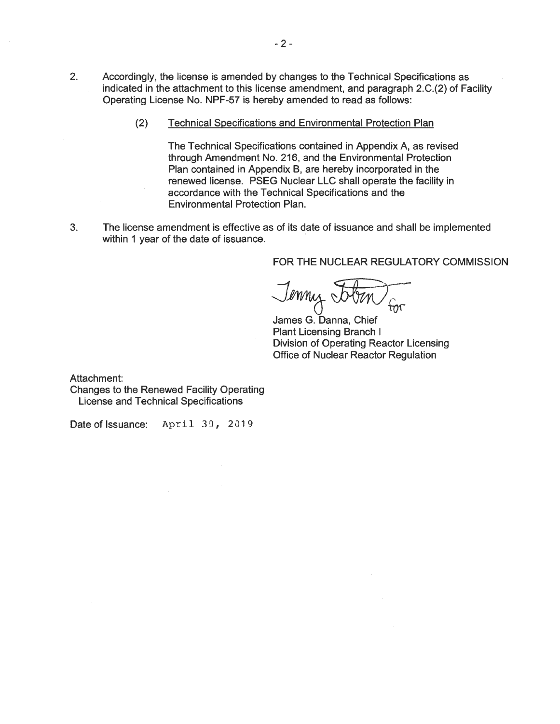- 2. Accordingly, the license is amended by changes to the Technical Specifications as indicated in the attachment to this license amendment, and paragraph 2.C.(2) of Facility Operating License No. NPF-57 is hereby amended to read as follows:
	- (2) Technical Specifications and Environmental Protection Plan

The Technical Specifications contained in Appendix A, as revised through Amendment No. 216, and the Environmental Protection Plan contained in Appendix B, are hereby incorporated in the renewed license. PSEG Nuclear LLC shall operate the facility in accordance with the Technical Specifications and the Environmental Protection Plan.

3. The license amendment is effective as of its date of issuance and shall be implemented within 1 year of the date of issuance.

FOR THE NUCLEAR REGULATORY COMMISSION

Jenny 5

James G. Danna, Chief **Plant Licensing Branch I Division of Operating Reactor Licensing Office of Nuclear Reactor Regulation** 

Attachment:

Changes to the Renewed Facility Operating License and Technical Specifications

Date of Issuance: April 30, 2019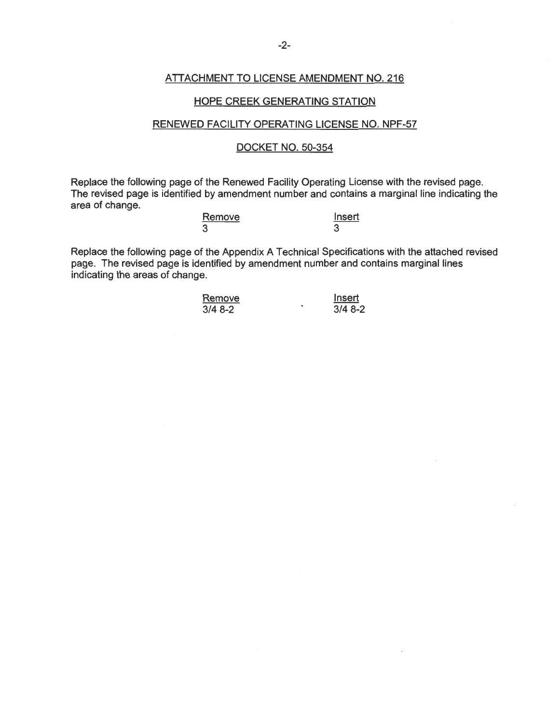## ATTACHMENT TO LICENSE AMENDMENT NO. 216

#### HOPE CREEK GENERATING STATION

## RENEWED FACILITY OPERATING LICENSE NO. NPF-57

### DOCKET NO. 50-354

Replace the following page of the Renewed Facility Operating License with the revised page. The revised page is identified by amendment number and contains a marginal line indicating the area of change.

| Remove | Insert |
|--------|--------|
| 3      |        |

Replace the following page of the Appendix A Technical Specifications with the attached revised page. The revised page is identified by amendment number and contains marginal lines indicating the areas of change.

| Remove   | Insert   |
|----------|----------|
| $3/48-2$ | $3/48-2$ |

 $\cdot$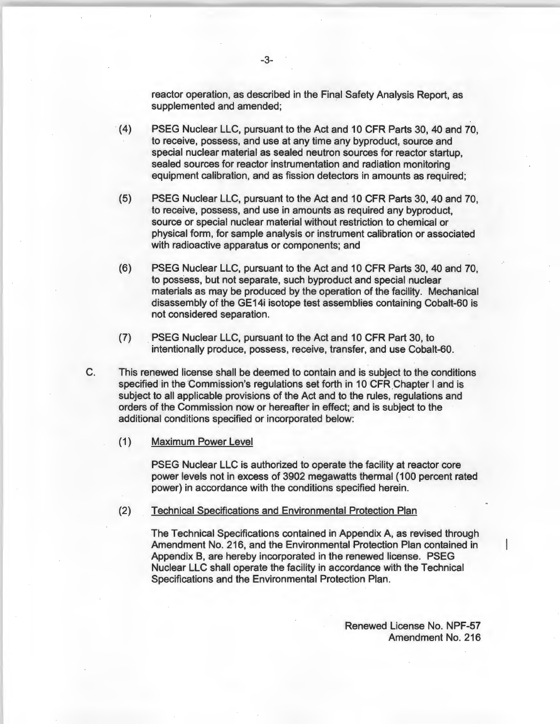reactor operation, as described in the Final Safety Analysis Report, as supplemented and amended;

- (4) PSEG Nuclear LLC, pursuant to the Act and 10 CFR Parts 30, 40 and 70, to receive, possess, and use at any time any byproduct, source and special nuclear material as sealed neutron sources for reactor startup, sealed sources for reactor instrumentation and radiation monitoring equipment calibration, and as fission detectors in amounts as required;
- (5) PSEG Nuclear LLC, pursuant to the Act and 10 CFR Parts 30, 40 and 70, to receive, possess, and use in amounts as required any byproduct, source or special nuclear material without restriction to chemical or physical form, for sample analysis or instrument calibration or associated with radioactive apparatus or components; and
- (6) PSEG Nuclear LLC, pursuant to the Act and 10 CFR Parts 30, 40 and 70, to possess, but not separate, such byproduct and special nuclear materials as may be produced by the operation of the facility. Mechanical disassembly of the GE14i isotope test assemblies containing Cobalt-60 is not considered separation.
- (7) PSEG Nuclear LLC, pursuant to the Act and 10 CFR Part 30, to intentionally produce, possess, receive, transfer, and use Cobalt-60.
- C. This renewed license shall be deemed to contain and is subject to the conditions specified in the Commission's regulations set forth in 10 CFR Chapter I and is subject to all applicable provisions of the Act and to the rules, regulations and orders of the Commission now or hereafter in effect; and is subject to the additional conditions specified or incorporated below:
	- (1) Maximum Power Level

PSEG Nuclear LLC is authorized to operate the facility at reactor core power levels not in excess of 3902 megawatts thermal ( 100 percent rated power) in accordance with the conditions specified herein.

(2) Technical Specifications and Environmental Protection Plan

The Technical Specifications contained in Appendix A, as revised through Amendment No. 216, and the Environmental Protection Plan contained in Appendix B, are hereby incorporated in the renewed license. PSEG Nuclear LLC shall operate the facility in accordance with the Technical Specifications and the Environmental Protection Plan.

> Renewed License No. NPF-57 Amendment No. 216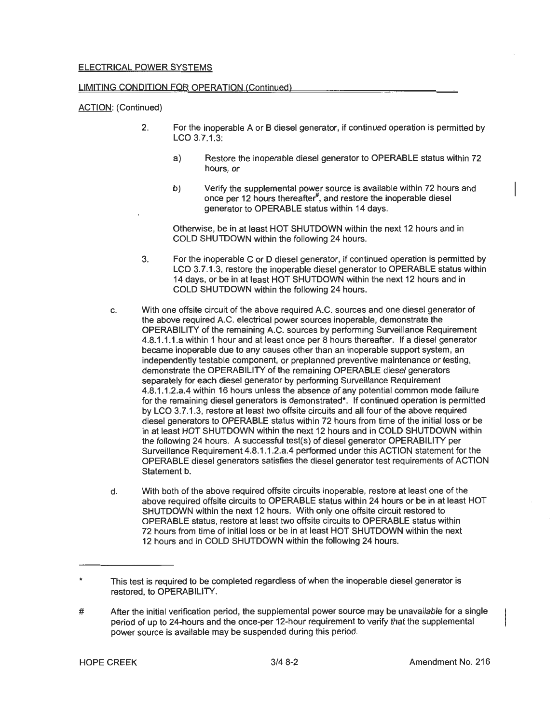#### LIMITING CONDITION FOR OPERATION (Continued)

#### ACTION: (Continued)

- 2. For the inoperable A or B diesel generator, if continued operation is permitted by LCO 3.7.1.3:
	- a) Restore the inoperable diesel generator to OPERABLE status within 72 hours, or
	- b) Verify the supplemental power source is available within 72 hours and once per 12 hours thereafter<sup>#</sup>, and restore the inoperable diesel generator to OPERABLE status within 14 days.

Otherwise, be in at least HOT SHUTDOWN within the next 12 hours and in COLD SHUTDOWN within the following 24 hours.

- 3. For the inoperable C or D diesel generator, if continued operation is permitted by LCO 3.7.1.3, restore the inoperable diesel generator to OPERABLE status within 14 days, or be in at least HOT SHUTDOWN within the next 12 hours and in COLD SHUTDOWN within the following 24 hours.
- c. With one offsite circuit of the above required A.C. sources and one diesel generator of the above required A.C. electrical power sources inoperable, demonstrate the OPERABILITY of the remaining A.C. sources by performing Surveillance Requirement 4.8.1.1.1.a within 1 hour and at least once per 8 hours thereafter. If a diesel generator became inoperable due to any causes other than an inoperable support system, an independently testable component, or preplanned preventive maintenance or testing, demonstrate the OPERABILITY of the remaining OPERABLE diesel generators separately for each diesel generator by performing Surveillance Requirement 4.8.1.1.2.a.4 within 16 hours unless the absence of any potential common mode failure for the remaining diesel generators is demonstrated\*. If continued operation is permitted by LCO 3.7.1 .3, restore at least two offsite circuits and all four of the above required diesel generators to OPERABLE status within 72 hours from time of the initial loss or be in at least HOT SHUTDOWN within the next 12 hours and in COLD SHUTDOWN within the following 24 hours. A successful test(s) of diesel generator OPERABILITY per Surveillance Requirement 4.8.1.1.2.a.4 performed under this ACTION statement for the OPERABLE diesel generators satisfies the diesel generator test requirements of ACTION Statement b.
- d. With both of the above required offsite circuits inoperable, restore at least one of the above required offsite circuits to OPERABLE status within 24 hours or be in at least HOT SHUTDOWN within the next 12 hours. With only one offsite circuit restored to OPERABLE status, restore at least two offsite circuits to OPERABLE status within 72 hours from time of initial loss or be in at least HOT SHUTDOWN within the next 12 hours and in COLD SHUTDOWN within the following 24 hours.

<sup>\*</sup>  This test is required to be completed regardless of when the inoperable diesel generator is restored, to OPERABILITY.

<sup>#</sup>  After the initial verification period, the supplemental power source may be unavailable for a single period of up to 24-hours and the once-per 12-hour requirement to verify that the supplemental power source is available may be suspended during this period.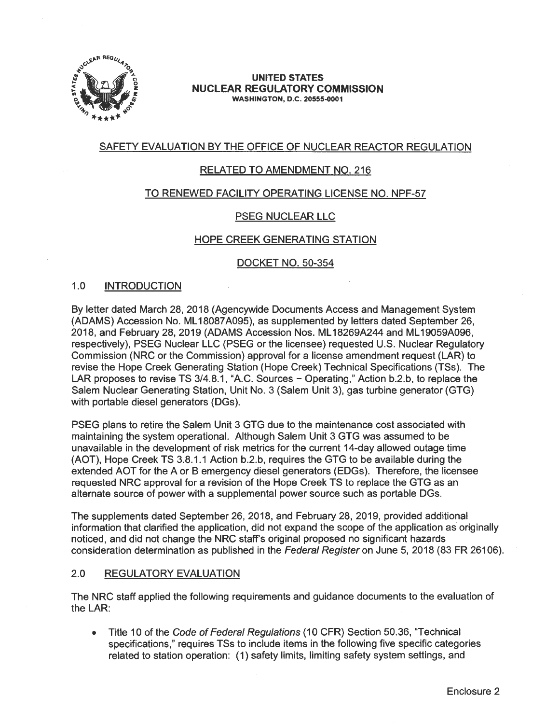

#### **UNITED STATES NUCLEAR REGULATORY COMMISSION WASHINGTON, D.C. 20555-0001**

# SAFETY EVALUATION BY THE OFFICE OF NUCLEAR REACTOR REGULATION

# RELATED TO AMENDMENT NO. 216

## TO RENEWED FACILITY OPERATING LICENSE NO. NPF-57

# PSEG NUCLEAR LLC

## HOPE CREEK GENERATING STATION

## DOCKET NO. 50-354

## 1.0 INTRODUCTION

By letter dated March 28, 2018 (Agencywide Documents Access and Management System (ADAMS) Accession No. ML 18087 A095), as supplemented by letters dated September 26, 2018, and February 28, 2019 (ADAMS Accession Nos. ML 18269A244 and ML 19059A096, respectively), PSEG Nuclear LLC (PSEG or the licensee) requested U.S. Nuclear Regulatory Commission (NRC or the Commission) approval for a license amendment request (LAR) to revise the Hope Creek Generating Station (Hope Creek) Technical Specifications (TSs). The LAR proposes to revise TS 3/4.8.1, "A.C. Sources - Operating," Action b.2.b, to replace the Salem Nuclear Generating Station, Unit No. 3 (Salem Unit 3), gas turbine generator (GTG) with portable diesel generators (DGs).

PSEG plans to retire the Salem Unit 3 GTG due to the maintenance cost associated with maintaining the system operational. Although Salem Unit 3 GTG was assumed to be unavailable in the development of risk metrics for the current 14-day allowed outage time (AOT), Hope Creek TS 3.8.1.1 Action b.2.b, requires the GTG to be available during the extended AOT for the A or B emergency diesel generators (EDGs). Therefore, the licensee requested NRC approval for a revision of the Hope Creek TS to replace the GTG as an alternate source of power with a supplemental power source such as portable DGs.

The supplements dated September 26, 2018, and February 28, 2019, provided additional information that clarified the application, did not expand the scope of the application as originally noticed, and did not change the NRC staffs original proposed no significant hazards consideration determination as published in the Federal Register on June 5, 2018 (83 FR 26106).

## 2.0 REGULATORY EVALUATION

The NRC staff applied the following requirements and guidance documents to the evaluation of the LAR:

• Title 10 of the Code of Federal Regulations (10 CFR) Section 50.36, "Technical specifications," requires TSs to include items in the following five specific categories related to station operation: (1) safety limits, limiting safety system settings, and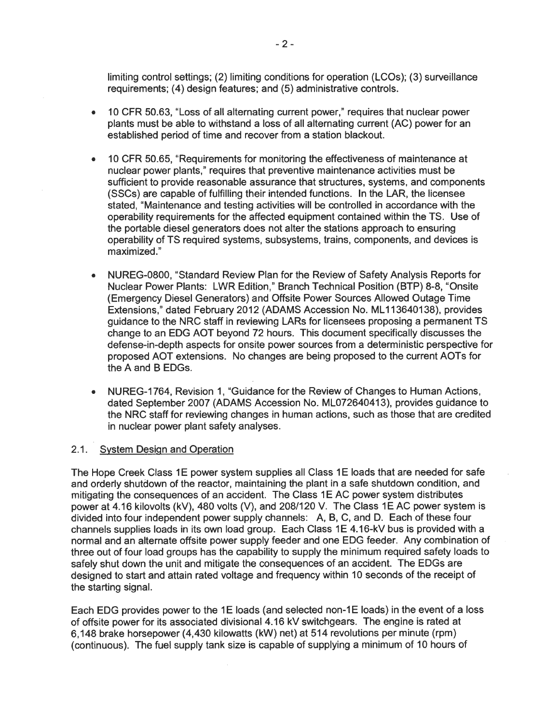limiting control settings; (2) limiting conditions for operation (LCOs); (3) surveillance requirements; (4) design features; and (5) administrative controls.

- 10 CFR 50.63, "Loss of all alternating current power," requires that nuclear power plants must be able to withstand a loss of all alternating current (AC) power for an established period of time and recover from a station blackout.
- 10 CFR 50.65, "Requirements for monitoring the effectiveness of maintenance at nuclear power plants," requires that preventive maintenance activities must be sufficient to provide reasonable assurance that structures, systems, and components (SSCs) are capable of fulfilling their intended functions. In the **LAR,** the licensee stated, "Maintenance and testing activities will be controlled in accordance with the operability requirements for the affected equipment contained within the TS. Use of the portable diesel generators does not alter the stations approach to ensuring operability of TS required systems, subsystems, trains, components, and devices is maximized."
- NUREG-0800, "Standard Review Plan for the Review of Safety Analysis Reports for Nuclear Power Plants: LWR Edition," Branch Technical Position (BTP) 8-8, "Onsite (Emergency Diesel Generators) and Offsite Power Sources Allowed Outage Time Extensions," dated February 2012 (ADAMS Accession No. ML 113640138), provides guidance to the NRC staff in reviewing LARs for licensees proposing a permanent TS change to an EOG AOT beyond 72 hours. This document specifically discusses the defense-in-depth aspects for onsite power sources from a deterministic perspective for proposed AOT extensions. No changes are being proposed to the current AOTs for the A and B EDGs.
- NUREG-1764, Revision 1, "Guidance for the Review of Changes to Human Actions, dated September 2007 (ADAMS Accession No. ML072640413), provides guidance to the NRC staff for reviewing changes in human actions, such as those that are credited in nuclear power plant safety analyses.

## 2.1. System Design and Operation

The Hope Creek Class 1E power system supplies all Class 1E loads that are needed for safe and orderly shutdown of the reactor, maintaining the plant in a safe shutdown condition, and mitigating the consequences of an accident. The Class 1E AC power system distributes power at 4.16 kilovolts (kV), 480 volts (V), and 208/120 V. The Class 1E AC power system is divided into four independent power supply channels: A, B, C, and D. Each of these four channels supplies loads in its own load group. Each Class 1E 4.16-kV bus is provided with a normal and an alternate offsite power supply feeder and one EOG feeder. Any combination of three out of four load groups has the capability to supply the minimum required safety loads to safely shut down the unit and mitigate the consequences of an accident. The EDGs are designed to start and attain rated voltage and frequency within 10 seconds of the receipt of the starting signal.

Each EDG provides power to the 1E loads (and selected non-1E loads) in the event of a loss of offsite power for its associated divisional 4.16 kV switchgears. The engine is rated at 6,148 brake horsepower (4,430 kilowatts (kW) net) at 514 revolutions per minute (rpm) (continuous). The fuel supply tank size is capable of supplying a minimum of 10 hours of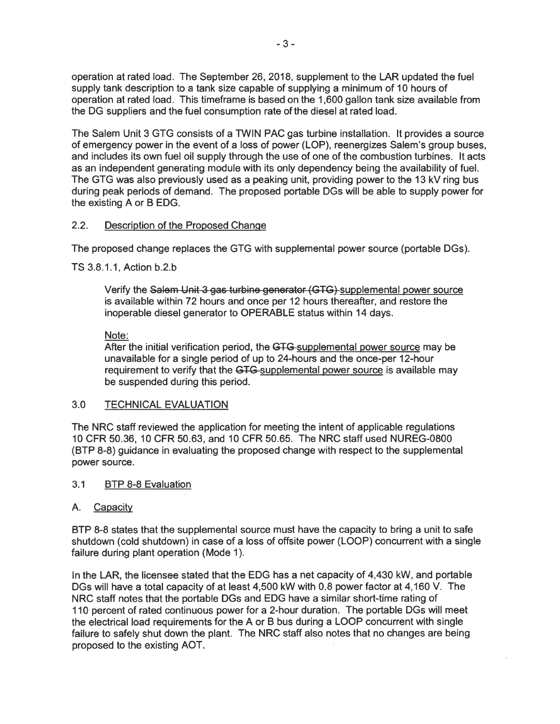operation at rated load. The September 26, 2018, supplement to the LAR updated the fuel supply tank description to a tank size capable of supplying a minimum of 10 hours of operation at rated load. This timeframe is based on the 1,600 gallon tank size available from the DG suppliers and the fuel consumption rate of the diesel at rated load.

The Salem Unit 3 GTG consists of a TWIN PAC gas turbine installation. It provides a source of emergency power in the event of a loss of power (LOP), reenergizes Salem's group buses, and includes its own fuel oil supply through the use of one of the combustion turbines. It acts as an independent generating module with its only dependency being the availability of fuel. The GTG was also previously used as a peaking unit, providing power to the 13 kV ring bus during peak periods of demand. The proposed portable DGs will be able to supply power for the existing A or B EOG.

## 2.2. Description of the Proposed Change

The proposed change replaces the GTG with supplemental power source (portable DGs ).

TS 3.8.1.1, Action b.2.b

Verify the Salem Unit 3 gas turbine generator (GTG) supplemental power source is available within 72 hours and once per 12 hours thereafter, and restore the inoperable diesel generator to OPERABLE status within 14 days.

## Note:

After the initial verification period, the GTG-supplemental power source may be unavailable for a single period of up to 24-hours and the once-per 12-hour requirement to verify that the GTG-supplemental power source is available may be suspended during this period.

# 3.0 TECHNICAL EVALUATION

The NRC staff reviewed the application for meeting the intent of applicable regulations 10 CFR 50.36, 10 CFR 50.63, and 10 CFR 50.65. The NRC staff used NUREG-0800 (BTP 8-8) guidance in evaluating the proposed change with respect to the supplemental power source.

## 3.1 BTP 8-8 Evaluation

## A. Capacity

BTP 8-8 states that the supplemental source must have the capacity to bring a unit to safe shutdown (cold shutdown) in case of a loss of offsite power (LOOP) concurrent with a single failure during plant operation (Mode 1).

In the LAR, the licensee stated that the EOG has a net capacity of 4,430 kW, and portable DGs will have a total capacity of at least 4,500 kW with 0.8 power factor at 4,160 V. The NRC staff notes that the portable DGs and EOG have a similar short-time rating of 110 percent of rated continuous power for a 2-hour duration. The portable DGs will meet the electrical load requirements for the A or B bus during a LOOP concurrent with single failure to safely shut down the plant. The NRC staff also notes that no changes are being proposed to the existing AOT.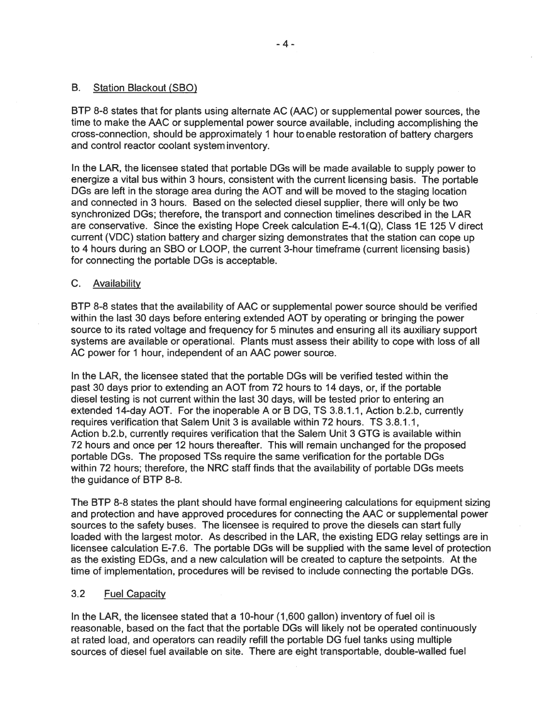## B. Station Blackout (SBO)

BTP 8-8 states that for plants using alternate AC (AAC) or supplemental power sources, the time to make the AAC or supplemental power source available, including accomplishing the cross-connection, should be approximately 1 hour to enable restoration of battery chargers and control reactor coolant system inventory.

In the LAR, the licensee stated that portable DGs will be made available to supply power to energize a vital bus within 3 hours, consistent with the current licensing basis. The portable DGs are left in the storage area during the AOT and will be moved to the staging location and connected in 3 hours. Based on the selected diesel supplier, there will only be two synchronized DGs; therefore, the transport and connection timelines described in the LAR are conservative. Since the existing Hope Creek calculation E-4.1(Q), Class 1E 125 V direct current (VDC) station battery and charger sizing demonstrates that the station can cope up to 4 hours during an SBO or LOOP, the current 3-hour timeframe (current licensing basis) for connecting the portable DGs is acceptable.

## C. Availability

BTP 8-8 states that the availability of AAC or supplemental power source should be verified within the last 30 days before entering extended AOT by operating or bringing the power source to its rated voltage and frequency for 5 minutes and ensuring all its auxiliary support systems are available or operational. Plants must assess their ability to cope with loss of all AC power for 1 hour, independent of an AAC power source.

In the LAR, the licensee stated that the portable DGs will be verified tested within the past 30 days prior to extending an AOT from 72 hours to 14 days, or, if the portable diesel testing is not current within the last 30 days, will be tested prior to entering an extended 14-day AOT. For the inoperable A or B DG, TS 3.8.1.1, Action b.2.b, currently requires verification that Salem Unit 3 is available within 72 hours. TS 3.8.1.1, Action b.2.b, currently requires verification that the Salem Unit 3 GTG is available within 72 hours and once per 12 hours thereafter. This will remain unchanged for the proposed portable DGs. The proposed TSs require the same verification for the portable DGs within 72 hours; therefore, the NRC staff finds that the availability of portable DGs meets the guidance of BTP 8-8.

The BTP 8-8 states the plant should have formal engineering calculations for equipment sizing and protection and have approved procedures for connecting the AAC or supplemental power sources to the safety buses. The licensee is required to prove the diesels can start fully loaded with the largest motor. As described in the LAR, the existing EOG relay settings are in licensee calculation E-7.6. The portable DGs will be supplied with the same level of protection as the existing EDGs, and a new calculation will be created to capture the setpoints. At the time of implementation, procedures will be revised to include connecting the portable DGs.

## 3.2 Fuel Capacity

In the LAR, the licensee stated that a 10-hour (1 ,600 gallon) inventory of fuel oil is reasonable, based on the fact that the portable DGs will likely not be operated continuously at rated load, and operators can readily refill the portable DG fuel tanks using multiple sources of diesel fuel available on site. There are eight transportable, double-walled fuel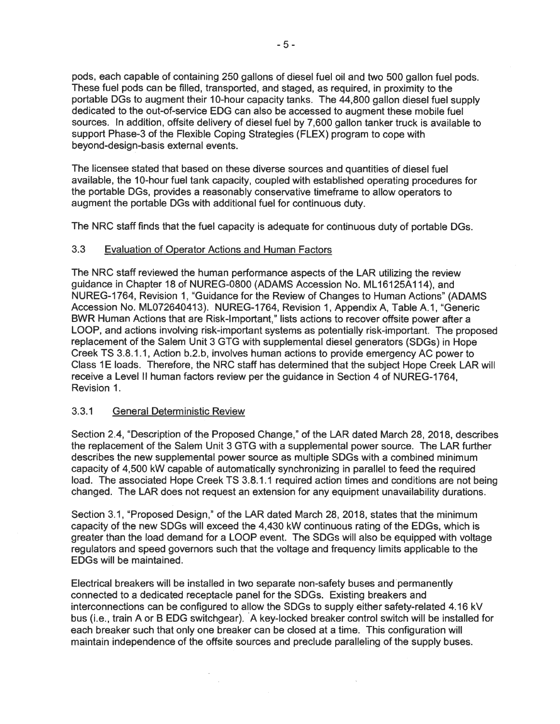pods, each capable of containing 250 gallons of diesel fuel oil and two 500 gallon fuel pods. These fuel pods can be filled, transported, and staged, as required, in proximity to the portable DGs to augment their 10-hour capacity tanks. The 44,800 gallon diesel fuel supply dedicated to the out-of-service EOG can also be accessed to augment these mobile fuel sources. In addition, offsite delivery of diesel fuel by 7,600 gallon tanker truck is available to support Phase-3 of the Flexible Coping Strategies (FLEX) program to cope with beyond-design-basis external events.

The licensee stated that based on these diverse sources and quantities of diesel fuel available, the 10-hour fuel tank capacity, coupled with established operating procedures for the portable DGs, provides a reasonably conservative timeframe to allow operators to augment the portable DGs with additional fuel for continuous duty.

The NRC staff finds that the fuel capacity is adequate for continuous duty of portable DGs.

#### 3.3 Evaluation of Operator Actions and Human Factors

The NRC staff reviewed the human performance aspects of the LAR utilizing the review guidance in Chapter 18 of NUREG-0800 (ADAMS Accession No. ML 16125A114), and NUREG-1764, Revision 1, "Guidance for the Review of Changes to Human Actions" (ADAMS Accession No. ML072640413). NUREG-1764, Revision 1, Appendix A, Table A.1, "Generic BWR Human Actions that are Risk-Important," lists actions to recover offsite power after a LOOP, and actions involving risk-important systems as potentially risk-important. The proposed replacement of the Salem Unit 3 GTG with supplemental diesel generators (SDGs) in Hope Creek TS 3.8.1.1, Action b.2.b, involves human actions to provide emergency AC power to Class 1E loads. Therefore, the NRC staff has determined that the subject Hope Creek LAR will receive a Level II human factors review per the guidance in Section 4 of NUREG-1764, Revision 1.

#### 3.3.1 General Deterministic Review

Section 2.4, "Description of the Proposed Change," of the LAR dated March 28, 2018, describes the replacement of the Salem Unit 3 GTG with a supplemental power source. The LAR further describes the new supplemental power source as multiple SDGs with a combined minimum capacity of 4,500 kW capable of automatically synchronizing in parallel to feed the required load. The associated Hope Creek TS 3.8.1.1 required action times and conditions are not being changed. The LAR does not request an extension for any equipment unavailability durations.

Section 3.1, "Proposed Design," of the LAR dated March 28, 2018, states that the minimum capacity of the new SDGs will exceed the 4,430 kW continuous rating of the EDGs, which is greater than the load demand for a LOOP event. The SDGs will also be equipped with voltage regulators and speed governors such that the voltage and frequency limits applicable to the EDGs will be maintained.

Electrical breakers will be installed in two separate non-safety buses and permanently connected to a dedicated receptacle panel for the SDGs. Existing breakers and interconnections can be configured to allow the SDGs to supply either safety-related 4.16 kV bus (i.e., train A or B EDG switchgear). A key-locked breaker control switch will be installed for each breaker such that only one breaker can be closed at a time. This configuration will maintain independence of the offsite sources and preclude paralleling of the supply buses.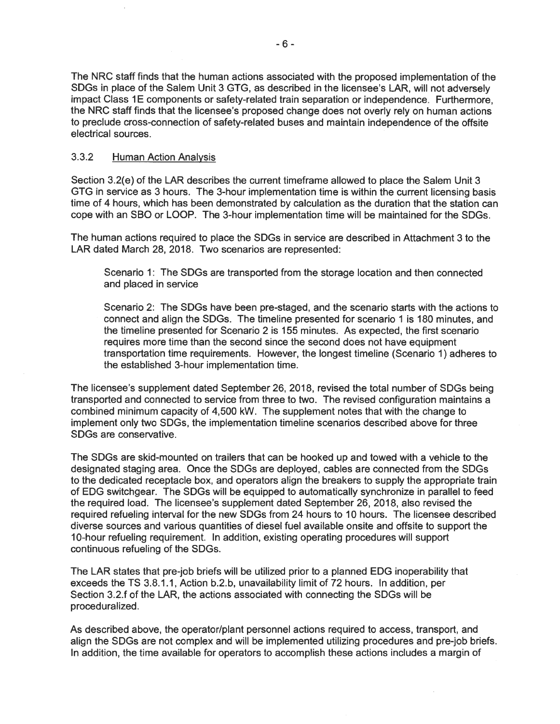The NRC staff finds that the human actions associated with the proposed implementation of the SDGs in place of the Salem Unit 3 GTG, as described in the licensee's LAR, will not adversely impact Class 1E components or safety-related train separation or independence. Furthermore, the NRC staff finds that the licensee's proposed change does not overly rely on human actions to preclude cross-connection of safety-related buses and maintain independence of the offsite electrical sources.

# 3.3.2 Human Action Analysis

Section 3.2(e) of the LAR describes the current timeframe allowed to place the Salem Unit 3 GTG in service as 3 hours. The 3-hour implementation time is within the current licensing basis time of 4 hours, which has been demonstrated by calculation as the duration that the station can cope with an SBO or LOOP. The 3-hour implementation time will be maintained for the SDGs.

The human actions required to place the SDGs in service are described in Attachment 3 to the LAR dated March 28, 2018. Two scenarios are represented:

Scenario 1: The SDGs are transported from the storage location and then connected and placed in service

Scenario 2: The SDGs have been pre-staged, and the scenario starts with the actions to connect and align the SDGs. The timeline presented for scenario 1 is 180 minutes, and the timeline presented for Scenario 2 is 155 minutes. As expected, the first scenario requires more time than the second since the second does not have equipment transportation time requirements. However, the longest timeline (Scenario 1) adheres to the established 3-hour implementation time.

The licensee's supplement dated September 26, 2018, revised the total number of SDGs being transported and connected to service from three to two. The revised configuration maintains a combined minimum capacity of 4,500 kW. The supplement notes that with the change to implement only two SDGs, the implementation timeline scenarios described above for three SDGs are conservative.

The SDGs are skid-mounted on trailers that can be hooked up and towed with a vehicle to the designated staging area. Once the SDGs are deployed, cables are connected from the SDGs to the dedicated receptacle box, and operators align the breakers to supply the appropriate train of EDG switchgear. The SDGs will be equipped to automatically synchronize in parallel to feed the required load. The licensee's supplement dated September 26, 2018, also revised the required refueling interval for the new SDGs from 24 hours to 10 hours. The licensee described diverse sources and various quantities of diesel fuel available onsite and offsite to support the 10-hour refueling requirement. In addition, existing operating procedures will support continuous refueling of the SDGs.

The LAR states that pre-job briefs will be utilized prior to a planned EDG inoperability that exceeds the TS 3.8.1 .1, Action b.2.b, unavailability limit of 72 hours. In addition, per Section 3.2.f of the LAR, the actions associated with connecting the SDGs will be proceduralized.

As described above, the operator/plant personnel actions required to access, transport, and align the SDGs are not complex and will be implemented utilizing procedures and pre-job briefs. In addition, the time available for operators to accomplish these actions includes a margin of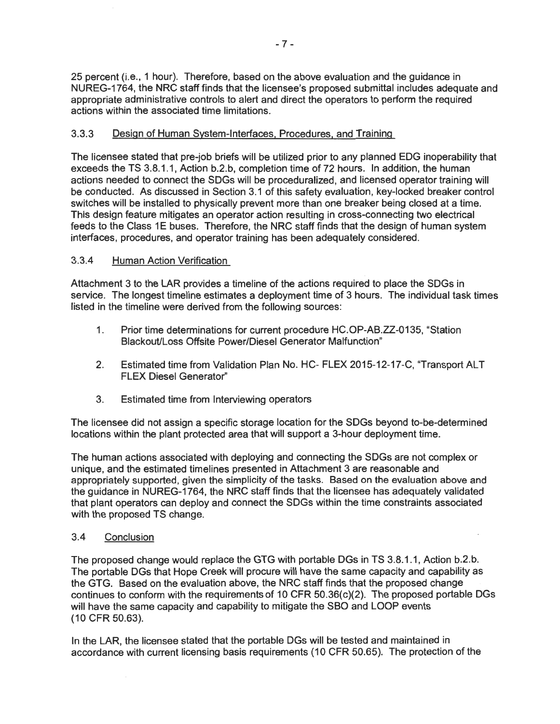25 percent (i.e., 1 hour). Therefore, based on the above evaluation and the guidance in NUREG-1764, the NRC staff finds that the licensee's proposed submittal includes adequate and appropriate administrative controls to alert and direct the operators to perform the required actions within the associated time limitations.

# 3.3.3 Design of Human System-Interfaces, Procedures, and Training

The licensee stated that pre-job briefs will be utilized prior to any planned EOG inoperability that exceeds the TS 3.8.1.1 , Action b.2.b, completion time of 72 hours. In addition, the human actions needed to connect the SDGs will be proceduralized, and licensed operator training will be conducted. As discussed in Section 3.1 of this safety evaluation, key-locked breaker control switches will be installed to physically prevent more than one breaker being closed at a time. This design feature mitigates an operator action resulting in cross-connecting two electrical feeds to the Class 1E buses. Therefore, the NRC staff finds that the design of human system interfaces, procedures, and operator training has been adequately considered.

# 3.3.4 Human Action Verification

Attachment 3 to the LAR provides a timeline of the actions required to place the SDGs in service. The longest timeline estimates a deployment time of 3 hours. The individual task times listed in the timeline were derived from the following sources:

- 1. Prior time determinations for current procedure HC.OP-AB.ZZ-0135, "Station Blackout/Loss Offsite Power/Diesel Generator Malfunction"
- 2. Estimated time from Validation Plan No. HC- FLEX 2015-12-17-C, "Transport ALT FLEX Diesel Generator"
- 3. Estimated time from Interviewing operators

The licensee did not assign a specific storage location for the SDGs beyond to-be-determined locations within the plant protected area that will support a 3-hour deployment time.

The human actions associated with deploying and connecting the SDGs are not complex or unique, and the estimated timelines presented in Attachment 3 are reasonable and appropriately supported, given the simplicity of the tasks. Based on the evaluation above and the guidance in NUREG-1764, the NRC staff finds that the licensee has adequately validated that plant operators can deploy and connect the SDGs within the time constraints associated with the proposed TS change.

# 3.4 Conclusion

The proposed change would replace the GTG with portable DGs in TS 3.8.1.1, Action b.2.b. The portable DGs that Hope Creek will procure will have the same capacity and capability as the GTG. Based on the evaluation above, the NRC staff finds that the proposed change continues to conform with the requirements of 10 CFR 50.36(c)(2). The proposed portable DGs will have the same capacity and capability to mitigate the SBO and LOOP events (10 CFR 50.63).

In the LAR, the licensee stated that the portable DGs will be tested and maintained in accordance with current licensing basis requirements ( 10 CFR 50.65). The protection of the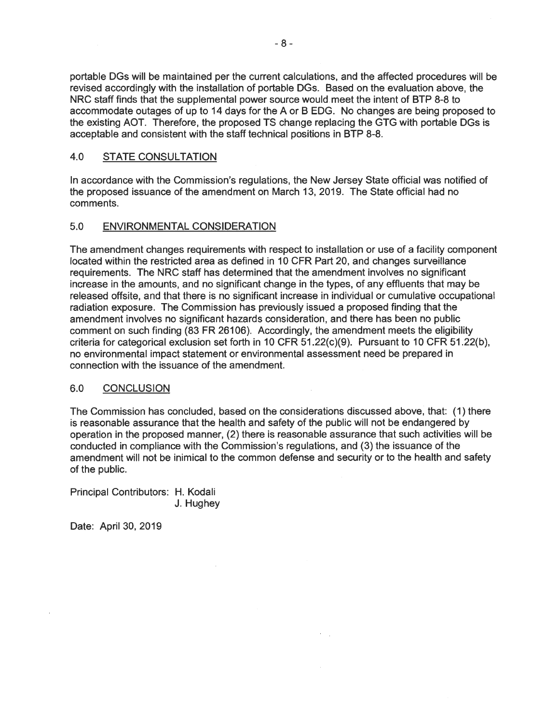portable DGs will be maintained per the current calculations, and the affected procedures will be revised accordingly with the installation of portable DGs. Based on the evaluation above, the NRC staff finds that the supplemental power source would meet the intent of BTP 8-8 to accommodate outages of up to 14 days for the A or B EOG. No changes are being proposed to the existing AOT. Therefore, the proposed TS change replacing the GTG with portable DGs is acceptable and consistent with the staff technical positions in BTP 8-8.

## 4.0 STATE CONSULTATION

In accordance with the Commission's regulations, the New Jersey State official was notified of the proposed issuance of the amendment on March 13, 2019. The State official had no comments.

## 5.0 ENVIRONMENTAL CONSIDERATION

The amendment changes requirements with respect to installation or use of a facility component located within the restricted area as defined in 10 CFR Part 20, and changes surveillance requirements. The NRC staff has determined that the amendment involves no significant increase in the amounts, and no significant change in the types, of any effluents that may be released offsite, and that there is no significant increase in individual or cumulative occupational radiation exposure. The Commission has previously issued a proposed finding that the amendment involves no significant hazards consideration, and there has been no public comment on such finding (83 FR 26106). Accordingly, the amendment meets the eligibility criteria for categorical exclusion set forth in 10 CFR 51 .22(c)(9). Pursuant to 10 CFR 51.22(b), no environmental impact statement or environmental assessment need be prepared in connection with the issuance of the amendment.

## 6.0 CONCLUSION

The Commission has concluded, based on the considerations discussed above, that: (1) there is reasonable assurance that the health and safety of the public will not be endangered by operation in the proposed manner, (2) there is reasonable assurance that such activities will be conducted in compliance with the Commission's regulations, and (3) the issuance of the amendment will not be inimical to the common defense and security or to the health and safety of the public.

Principal Contributors: H. Kodali J. Hughey

Date: April 30, 2019